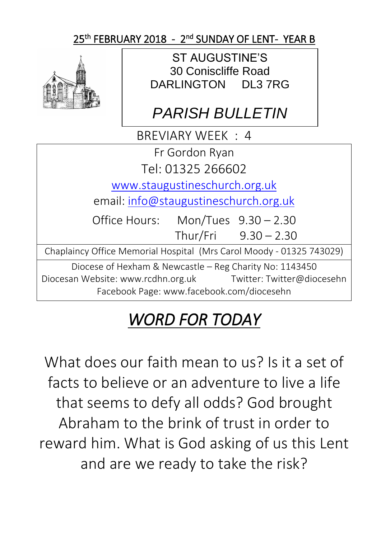## 25<sup>th</sup> FEBRUARY 2018 - 2<sup>nd</sup> SUNDAY OF LENT-YEAR B



ST AUGUSTINE'S 30 Coniscliffe Road DARLINGTON DL3 7RG

## *PARISH BULLETIN*

BREVIARY WEEK : 4

Fr Gordon Ryan

Tel: 01325 266602

[www.staugustineschurch.org.uk](http://www.staugustineschurch.org.uk/)

email: [info@staugustineschurch.org.uk](mailto:info@staugustineschurch.org.uk)

Office Hours: Mon/Tues 9.30 – 2.30 Thur/Fri 9.30 – 2.30

Chaplaincy Office Memorial Hospital (Mrs Carol Moody - 01325 743029)

Diocese of Hexham & Newcastle – Reg Charity No: 1143450 Diocesan Website: www.rcdhn.org.uk Twitter: Twitter@diocesehn Facebook Page: www.facebook.com/diocesehn

# *WORD FOR TODAY*

What does our faith mean to us? Is it a set of facts to believe or an adventure to live a life that seems to defy all odds? God brought Abraham to the brink of trust in order to reward him. What is God asking of us this Lent and are we ready to take the risk?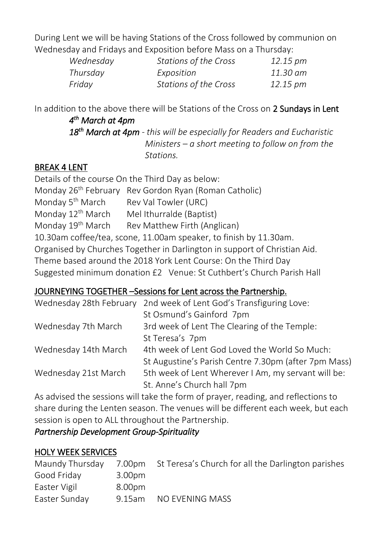During Lent we will be having Stations of the Cross followed by communion on Wednesday and Fridays and Exposition before Mass on a Thursday:

| Wednesday | Stations of the Cross | 12.15 pm |
|-----------|-----------------------|----------|
| Thursday  | Exposition            | 11.30 am |
| Friday    | Stations of the Cross | 12.15 pm |

In addition to the above there will be Stations of the Cross on 2 Sundays in Lent *4 th March at 4pm* 

 *18th March at 4pm - this will be especially for Readers and Eucharistic Ministers – a short meeting to follow on from the Stations.*

#### BREAK 4 LENT

Details of the course On the Third Day as below: Monday 26th February Rev Gordon Ryan (Roman Catholic) Monday 5<sup>th</sup> March Rev Val Towler (URC) Monday  $12<sup>th</sup>$  March Mel Ithurralde (Baptist) Monday 19<sup>th</sup> March Rev Matthew Firth (Anglican) 10.30am coffee/tea, scone, 11.00am speaker, to finish by 11.30am. Organised by Churches Together in Darlington in support of Christian Aid. Theme based around the 2018 York Lent Course: On the Third Day Suggested minimum donation £2 Venue: St Cuthbert's Church Parish Hall

#### JOURNEYING TOGETHER –Sessions for Lent across the Partnership.

| Wednesday 28th February | 2nd week of Lent God's Transfiguring Love:           |  |  |
|-------------------------|------------------------------------------------------|--|--|
|                         | St Osmund's Gainford 7pm                             |  |  |
| Wednesday 7th March     | 3rd week of Lent The Clearing of the Temple:         |  |  |
|                         | St Teresa's 7pm                                      |  |  |
| Wednesday 14th March    | 4th week of Lent God Loved the World So Much:        |  |  |
|                         | St Augustine's Parish Centre 7.30pm (after 7pm Mass) |  |  |
| Wednesday 21st March    | 5th week of Lent Wherever I Am, my servant will be:  |  |  |
|                         | St. Anne's Church hall 7pm                           |  |  |

As advised the sessions will take the form of prayer, reading, and reflections to share during the Lenten season. The venues will be different each week, but each session is open to ALL throughout the Partnership.

#### *Partnership Development Group-Spirituality*

#### HOLY WEEK SERVICES

| Maundy Thursday |                    | 7.00pm St Teresa's Church for all the Darlington parishes |
|-----------------|--------------------|-----------------------------------------------------------|
| Good Friday     | 3.00 <sub>pm</sub> |                                                           |
| Easter Vigil    | 8.00pm             |                                                           |
| Easter Sunday   | 9.15am             | NO EVENING MASS                                           |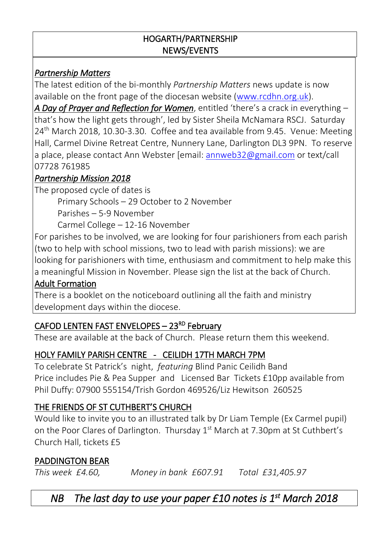#### HOGARTH/PARTNERSHIP NEWS/EVENTS

#### *Partnership Matters*

The latest edition of the bi-monthly *Partnership Matters* news update is now available on the front page of the diocesan website [\(www.rcdhn.org.uk\)](http://www.rcdhn.org.uk/).

*A Day of Prayer and Reflection for Women*, entitled 'there's a crack in everything – that's how the light gets through', led by Sister Sheila McNamara RSCJ. Saturday  $24<sup>th</sup>$  March 2018, 10.30-3.30. Coffee and tea available from 9.45. Venue: Meeting Hall, Carmel Divine Retreat Centre, Nunnery Lane, Darlington DL3 9PN. To reserve a place, please contact Ann Webster [email: [annweb32@gmail.com](mailto:annweb32@gmail.com) or text/call 07728 761985

#### *Partnership Mission 2018*

The proposed cycle of dates is

Primary Schools – 29 October to 2 November

Parishes – 5-9 November

Carmel College – 12-16 November

For parishes to be involved, we are looking for four parishioners from each parish (two to help with school missions, two to lead with parish missions): we are looking for parishioners with time, enthusiasm and commitment to help make this a meaningful Mission in November. Please sign the list at the back of Church.

#### Adult Formation

There is a booklet on the noticeboard outlining all the faith and ministry development days within the diocese.

## CAFOD LENTEN FAST ENVELOPES - 23<sup>RD</sup> February

These are available at the back of Church. Please return them this weekend.

## HOLY FAMILY PARISH CENTRE - CEILIDH 17TH MARCH 7PM

To celebrate St Patrick's night, *featuring* Blind Panic Ceilidh Band Price includes Pie & Pea Supper and Licensed Bar Tickets £10pp available from Phil Duffy: 07900 555154/Trish Gordon 469526/Liz Hewitson 260525

## THE FRIENDS OF ST CUTHBERT'S CHURCH

Would like to invite you to an illustrated talk by Dr Liam Temple (Ex Carmel pupil) on the Poor Clares of Darlington. Thursday 1<sup>st</sup> March at 7.30pm at St Cuthbert's Church Hall, tickets £5

#### PADDINGTON BEAR

*This week £4.60, Money in bank £607.91 Total £31,405.97*

*NB The last day to use your paper £10 notes is 1st March 2018*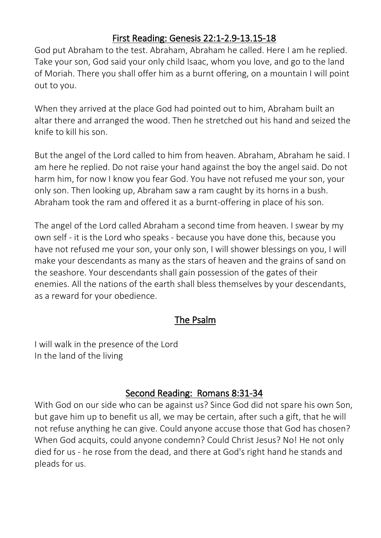## First Reading: Genesis 22:1-2.9-13.15-18

God put Abraham to the test. Abraham, Abraham he called. Here I am he replied. Take your son, God said your only child Isaac, whom you love, and go to the land of Moriah. There you shall offer him as a burnt offering, on a mountain I will point out to you.

When they arrived at the place God had pointed out to him, Abraham built an altar there and arranged the wood. Then he stretched out his hand and seized the knife to kill his son.

But the angel of the Lord called to him from heaven. Abraham, Abraham he said. I am here he replied. Do not raise your hand against the boy the angel said. Do not harm him, for now I know you fear God. You have not refused me your son, your only son. Then looking up, Abraham saw a ram caught by its horns in a bush. Abraham took the ram and offered it as a burnt-offering in place of his son.

The angel of the Lord called Abraham a second time from heaven. I swear by my own self - it is the Lord who speaks - because you have done this, because you have not refused me your son, your only son, I will shower blessings on you, I will make your descendants as many as the stars of heaven and the grains of sand on the seashore. Your descendants shall gain possession of the gates of their enemies. All the nations of the earth shall bless themselves by your descendants, as a reward for your obedience.

#### The Psalm

I will walk in the presence of the Lord In the land of the living

## Second Reading: Romans 8:31-34

With God on our side who can be against us? Since God did not spare his own Son, but gave him up to benefit us all, we may be certain, after such a gift, that he will not refuse anything he can give. Could anyone accuse those that God has chosen? When God acquits, could anyone condemn? Could Christ Jesus? No! He not only died for us - he rose from the dead, and there at God's right hand he stands and pleads for us.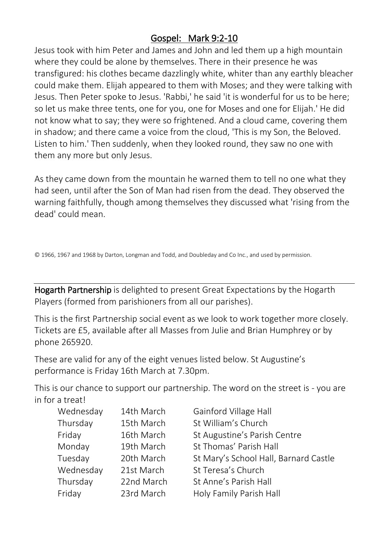## Gospel: Mark 9:2-10

Jesus took with him Peter and James and John and led them up a high mountain where they could be alone by themselves. There in their presence he was transfigured: his clothes became dazzlingly white, whiter than any earthly bleacher could make them. Elijah appeared to them with Moses; and they were talking with Jesus. Then Peter spoke to Jesus. 'Rabbi,' he said 'it is wonderful for us to be here; so let us make three tents, one for you, one for Moses and one for Elijah.' He did not know what to say; they were so frightened. And a cloud came, covering them in shadow; and there came a voice from the cloud, 'This is my Son, the Beloved. Listen to him.' Then suddenly, when they looked round, they saw no one with them any more but only Jesus.

As they came down from the mountain he warned them to tell no one what they had seen, until after the Son of Man had risen from the dead. They observed the warning faithfully, though among themselves they discussed what 'rising from the dead' could mean.

© 1966, 1967 and 1968 by Darton, Longman and Todd, and Doubleday and Co Inc., and used by permission.

Hogarth Partnership is delighted to present Great Expectations by the Hogarth Players (formed from parishioners from all our parishes).

This is the first Partnership social event as we look to work together more closely. Tickets are £5, available after all Masses from Julie and Brian Humphrey or by phone 265920.

These are valid for any of the eight venues listed below. St Augustine's performance is Friday 16th March at 7.30pm.

This is our chance to support our partnership. The word on the street is - you are in for a treat!

| Wednesday | 14th March | Gainford Village Hall                 |
|-----------|------------|---------------------------------------|
| Thursday  | 15th March | St William's Church                   |
| Friday    | 16th March | St Augustine's Parish Centre          |
| Monday    | 19th March | St Thomas' Parish Hall                |
| Tuesday   | 20th March | St Mary's School Hall, Barnard Castle |
| Wednesday | 21st March | St Teresa's Church                    |
| Thursday  | 22nd March | St Anne's Parish Hall                 |
| Friday    | 23rd March | Holy Family Parish Hall               |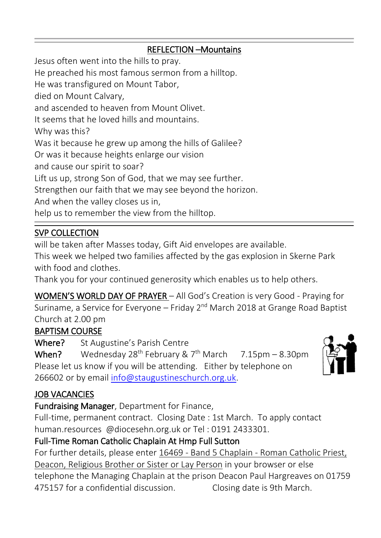#### REFLECTION –Mountains

Jesus often went into the hills to pray. He preached his most famous sermon from a hilltop. He was transfigured on Mount Tabor, died on Mount Calvary, and ascended to heaven from Mount Olivet. It seems that he loved hills and mountains. Why was this? Was it because he grew up among the hills of Galilee? Or was it because heights enlarge our vision and cause our spirit to soar? Lift us up, strong Son of God, that we may see further. Strengthen our faith that we may see beyond the horizon. And when the valley closes us in, help us to remember the view from the hilltop.

#### SVP COLLECTION

will be taken after Masses today, Gift Aid envelopes are available.

This week we helped two families affected by the gas explosion in Skerne Park with food and clothes.

Thank you for your continued generosity which enables us to help others.

WOMEN'S WORLD DAY OF PRAYER – All God's Creation is very Good - Praying for Suriname, a Service for Everyone - Friday 2<sup>nd</sup> March 2018 at Grange Road Baptist Church at 2.00 pm

#### BAPTISM COURSE

Where? St Augustine's Parish Centre

When? Wednesday 28<sup>th</sup> February & 7<sup>th</sup> March  $7.15 \text{pm} - 8.30 \text{pm}$ Please let us know if you will be attending. Either by telephone on 266602 or by email [info@staugustineschurch.org.uk.](mailto:info@staugustineschurch.org.uk)

## JOB VACANCIES

Fundraising Manager, Department for Finance,

Full-time, permanent contract. Closing Date : 1st March. To apply contact human.resources @diocesehn.org.uk or Tel : 0191 2433301.

## Full-Time Roman Catholic Chaplain At Hmp Full Sutton

For further details, please enter 16469 - Band 5 Chaplain - Roman Catholic Priest, Deacon, Religious Brother or Sister or Lay Person in your browser or else telephone the Managing Chaplain at the prison Deacon Paul Hargreaves on 01759 475157 for a confidential discussion. Closing date is 9th March.



 $\ddot{\phantom{0}}$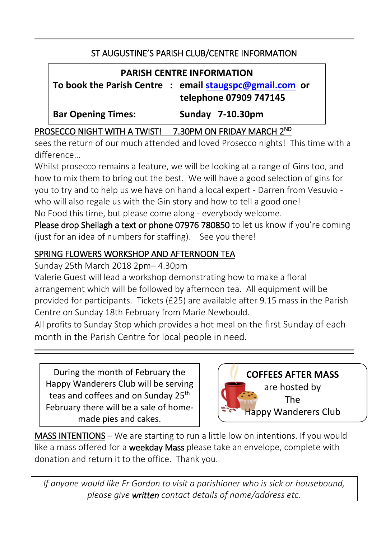#### ST AUGUSTINE'S PARISH CLUB/CENTRE INFORMATION

#### **PARISH CENTRE INFORMATION**

**To book the Parish Centre : email [staugspc@gmail.com](mailto:staugspc@gmail.com) or telephone 07909 747145**

**Bar Opening Times: Sunday 7-10.30pm**

#### PROSECCO NIGHT WITH A TWIST! 7.30PM ON FRIDAY MARCH 2ND

sees the return of our much attended and loved Prosecco nights! This time with a difference…

Whilst prosecco remains a feature, we will be looking at a range of Gins too, and how to mix them to bring out the best. We will have a good selection of gins for you to try and to help us we have on hand a local expert - Darren from Vesuvio who will also regale us with the Gin story and how to tell a good one! No Food this time, but please come along - everybody welcome.

Please drop Sheilagh a text or phone 07976 780850 to let us know if you're coming (just for an idea of numbers for staffing). See you there!

#### SPRING FLOWERS WORKSHOP AND AFTERNOON TEA

Sunday 25th March 2018 2pm– 4.30pm

Valerie Guest will lead a workshop demonstrating how to make a floral arrangement which will be followed by afternoon tea. All equipment will be provided for participants. Tickets (£25) are available after 9.15 mass in the Parish Centre on Sunday 18th February from Marie Newbould.

All profits to Sunday Stop which provides a hot meal on the first Sunday of each month in the Parish Centre for local people in need.

During the month of February the Happy Wanderers Club will be serving teas and coffees and on Sunday 25<sup>th</sup> February there will be a sale of homemade pies and cakes.



 $\ddot{\phantom{0}}$ 

MASS INTENTIONS – We are starting to run a little low on intentions. If you would like a mass offered for a weekday Mass please take an envelope, complete with donation and return it to the office. Thank you.

*If anyone would like Fr Gordon to visit a parishioner who is sick or housebound, please give written contact details of name/address etc.*